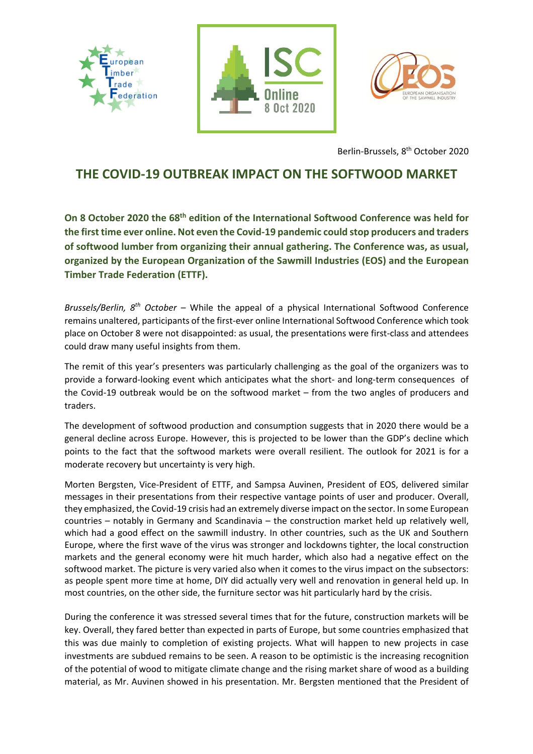





Berlin‐Brussels, 8th October 2020

## **THE COVID‐19 OUTBREAK IMPACT ON THE SOFTWOOD MARKET**

**On 8 October 2020 the 68th edition of the International Softwood Conference was held for the first time ever online. Not even the Covid‐19 pandemic could stop producers and traders of softwood lumber from organizing their annual gathering. The Conference was, as usual, organized by the European Organization of the Sawmill Industries (EOS) and the European Timber Trade Federation (ETTF).**

*Brussels/Berlin, 8th October* – While the appeal of a physical International Softwood Conference remains unaltered, participants of the first‐ever online International Softwood Conference which took place on October 8 were not disappointed: as usual, the presentations were first‐class and attendees could draw many useful insights from them.

The remit of this year's presenters was particularly challenging as the goal of the organizers was to provide a forward-looking event which anticipates what the short- and long-term consequences of the Covid‐19 outbreak would be on the softwood market – from the two angles of producers and traders.

The development of softwood production and consumption suggests that in 2020 there would be a general decline across Europe. However, this is projected to be lower than the GDP's decline which points to the fact that the softwood markets were overall resilient. The outlook for 2021 is for a moderate recovery but uncertainty is very high.

Morten Bergsten, Vice‐President of ETTF, and Sampsa Auvinen, President of EOS, delivered similar messages in their presentations from their respective vantage points of user and producer. Overall, they emphasized, the Covid‐19 crisis had an extremely diverse impact on the sector. In some European countries – notably in Germany and Scandinavia – the construction market held up relatively well, which had a good effect on the sawmill industry. In other countries, such as the UK and Southern Europe, where the first wave of the virus was stronger and lockdowns tighter, the local construction markets and the general economy were hit much harder, which also had a negative effect on the softwood market. The picture is very varied also when it comes to the virus impact on the subsectors: as people spent more time at home, DIY did actually very well and renovation in general held up. In most countries, on the other side, the furniture sector was hit particularly hard by the crisis.

During the conference it was stressed several times that for the future, construction markets will be key. Overall, they fared better than expected in parts of Europe, but some countries emphasized that this was due mainly to completion of existing projects. What will happen to new projects in case investments are subdued remains to be seen. A reason to be optimistic is the increasing recognition of the potential of wood to mitigate climate change and the rising market share of wood as a building material, as Mr. Auvinen showed in his presentation. Mr. Bergsten mentioned that the President of